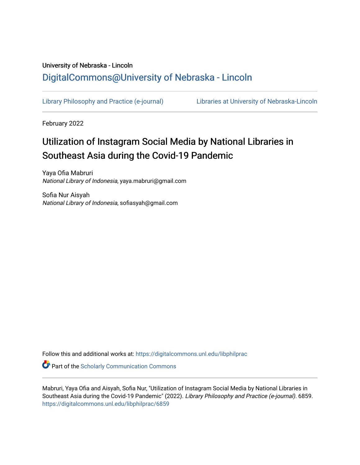## University of Nebraska - Lincoln [DigitalCommons@University of Nebraska - Lincoln](https://digitalcommons.unl.edu/)

[Library Philosophy and Practice \(e-journal\)](https://digitalcommons.unl.edu/libphilprac) [Libraries at University of Nebraska-Lincoln](https://digitalcommons.unl.edu/libraries) 

February 2022

# Utilization of Instagram Social Media by National Libraries in Southeast Asia during the Covid-19 Pandemic

Yaya Ofia Mabruri National Library of Indonesia, yaya.mabruri@gmail.com

Sofia Nur Aisyah National Library of Indonesia, sofiasyah@gmail.com

Follow this and additional works at: [https://digitalcommons.unl.edu/libphilprac](https://digitalcommons.unl.edu/libphilprac?utm_source=digitalcommons.unl.edu%2Flibphilprac%2F6859&utm_medium=PDF&utm_campaign=PDFCoverPages) 

**C** Part of the Scholarly Communication Commons

Mabruri, Yaya Ofia and Aisyah, Sofia Nur, "Utilization of Instagram Social Media by National Libraries in Southeast Asia during the Covid-19 Pandemic" (2022). Library Philosophy and Practice (e-journal). 6859. [https://digitalcommons.unl.edu/libphilprac/6859](https://digitalcommons.unl.edu/libphilprac/6859?utm_source=digitalcommons.unl.edu%2Flibphilprac%2F6859&utm_medium=PDF&utm_campaign=PDFCoverPages)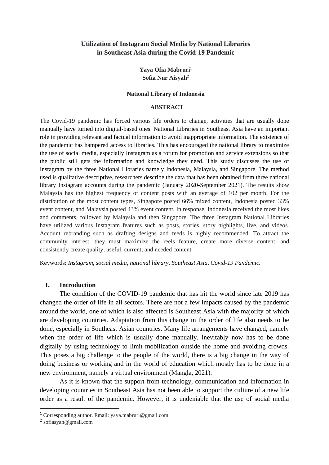## **Utilization of Instagram Social Media by National Libraries in Southeast Asia during the Covid-19 Pandemic**

## **Yaya Ofia Mabruri<sup>1</sup> Sofia Nur Aisyah<sup>2</sup>**

#### **National Library of Indonesia**

#### **ABSTRACT**

The Covid-19 pandemic has forced various life orders to change, activities that are usually done manually have turned into digital-based ones. National Libraries in Southeast Asia have an important role in providing relevant and factual information to avoid inappropriate information. The existence of the pandemic has hampered access to libraries. This has encouraged the national library to maximize the use of social media, especially Instagram as a forum for promotion and service extensions so that the public still gets the information and knowledge they need. This study discusses the use of Instagram by the three National Libraries namely Indonesia, Malaysia, and Singapore. The method used is qualitative descriptive, researchers describe the data that has been obtained from three national library Instagram accounts during the pandemic (January 2020-September 2021). The results show Malaysia has the highest frequency of content posts with an average of 102 per month. For the distribution of the most content types, Singapore posted 66% mixed content, Indonesia posted 33% event content, and Malaysia posted 43% event content. In response, Indonesia received the most likes and comments, followed by Malaysia and then Singapore. The three Instagram National Libraries have utilized various Instagram features such as posts, stories, story highlights, live, and videos. Account rebranding such as drafting designs and feeds is highly recommended. To attract the community interest, they must maximize the reels feature, create more diverse content, and consistently create quality, useful, current, and needed content.

Keywords: *Instagram, social media, national library, Southeast Asia, Covid-19 Pandemic.*

#### **I. Introduction**

The condition of the COVID-19 pandemic that has hit the world since late 2019 has changed the order of life in all sectors. There are not a few impacts caused by the pandemic around the world, one of which is also affected is Southeast Asia with the majority of which are developing countries. Adaptation from this change in the order of life also needs to be done, especially in Southeast Asian countries. Many life arrangements have changed, namely when the order of life which is usually done manually, inevitably now has to be done digitally by using technology to limit mobilization outside the home and avoiding crowds. This poses a big challenge to the people of the world, there is a big change in the way of doing business or working and in the world of education which mostly has to be done in a new environment, namely a virtual environment (Mangla, 2021).

As it is known that the support from technology, communication and information in developing countries in Southeast Asia has not been able to support the culture of a new life order as a result of the pandemic. However, it is undeniable that the use of social media

<sup>1</sup> Corresponding author. Email: [yaya.mabruri@gmail.com](mailto:yaya.mabruri@gmail.com)

<sup>&</sup>lt;sup>2</sup> sofiasyah@gmail.com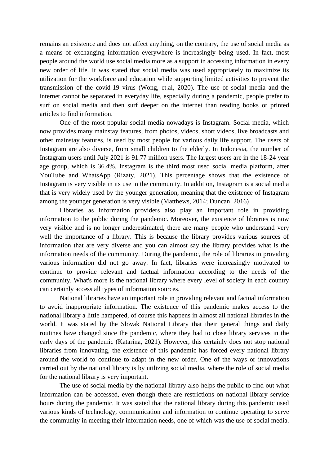remains an existence and does not affect anything, on the contrary, the use of social media as a means of exchanging information everywhere is increasingly being used. In fact, most people around the world use social media more as a support in accessing information in every new order of life. It was stated that social media was used appropriately to maximize its utilization for the workforce and education while supporting limited activities to prevent the transmission of the covid-19 virus (Wong, [et.al,](http://et.al/) 2020). The use of social media and the internet cannot be separated in everyday life, especially during a pandemic, people prefer to surf on social media and then surf deeper on the internet than reading books or printed articles to find information.

One of the most popular social media nowadays is Instagram. Social media, which now provides many mainstay features, from photos, videos, short videos, live broadcasts and other mainstay features, is used by most people for various daily life support. The users of Instagram are also diverse, from small children to the elderly. In Indonesia, the number of Instagram users until July 2021 is 91.77 million users. The largest users are in the 18-24 year age group, which is 36.4%. Instagram is the third most used social media platform, after YouTube and WhatsApp (Rizaty, 2021). This percentage shows that the existence of Instagram is very visible in its use in the community. In addition, Instagram is a social media that is very widely used by the younger generation, meaning that the existence of Instagram among the younger generation is very visible (Matthews, 2014; Duncan, 2016)

Libraries as information providers also play an important role in providing information to the public during the pandemic. Moreover, the existence of libraries is now very visible and is no longer underestimated, there are many people who understand very well the importance of a library. This is because the library provides various sources of information that are very diverse and you can almost say the library provides what is the information needs of the community. During the pandemic, the role of libraries in providing various information did not go away. In fact, libraries were increasingly motivated to continue to provide relevant and factual information according to the needs of the community. What's more is the national library where every level of society in each country can certainly access all types of information sources.

National libraries have an important role in providing relevant and factual information to avoid inappropriate information. The existence of this pandemic makes access to the national library a little hampered, of course this happens in almost all national libraries in the world. It was stated by the Slovak National Library that their general things and daily routines have changed since the pandemic, where they had to close library services in the early days of the pandemic (Katarina, 2021). However, this certainly does not stop national libraries from innovating, the existence of this pandemic has forced every national library around the world to continue to adapt in the new order. One of the ways or innovations carried out by the national library is by utilizing social media, where the role of social media for the national library is very important.

The use of social media by the national library also helps the public to find out what information can be accessed, even though there are restrictions on national library service hours during the pandemic. It was stated that the national library during this pandemic used various kinds of technology, communication and information to continue operating to serve the community in meeting their information needs, one of which was the use of social media.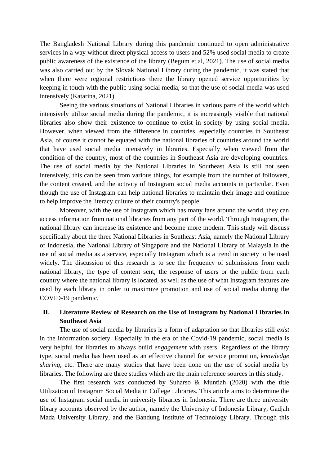The Bangladesh National Library during this pandemic continued to open administrative services in a way without direct physical access to users and 52% used social media to create public awareness of the existence of the library (Begum [et.al,](http://et.al/) 2021). The use of social media was also carried out by the Slovak National Library during the pandemic, it was stated that when there were regional restrictions there the library opened service opportunities by keeping in touch with the public using social media, so that the use of social media was used intensively (Katarina, 2021).

Seeing the various situations of National Libraries in various parts of the world which intensively utilize social media during the pandemic, it is increasingly visible that national libraries also show their existence to continue to exist in society by using social media. However, when viewed from the difference in countries, especially countries in Southeast Asia, of course it cannot be equated with the national libraries of countries around the world that have used social media intensively in libraries. Especially when viewed from the condition of the country, most of the countries in Southeast Asia are developing countries. The use of social media by the National Libraries in Southeast Asia is still not seen intensively, this can be seen from various things, for example from the number of followers, the content created, and the activity of Instagram social media accounts in particular. Even though the use of Instagram can help national libraries to maintain their image and continue to help improve the literacy culture of their country's people.

Moreover, with the use of Instagram which has many fans around the world, they can access information from national libraries from any part of the world. Through Instagram, the national library can increase its existence and become more modern. This study will discuss specifically about the three National Libraries in Southeast Asia, namely the National Library of Indonesia, the National Library of Singapore and the National Library of Malaysia in the use of social media as a service, especially Instagram which is a trend in society to be used widely. The discussion of this research is to see the frequency of submissions from each national library, the type of content sent, the response of users or the public from each country where the national library is located, as well as the use of what Instagram features are used by each library in order to maximize promotion and use of social media during the COVID-19 pandemic.

## **II. Literature Review of Research on the Use of Instagram by National Libraries in Southeast Asia**

The use of social media by libraries is a form of adaptation so that libraries still *exist* in the information society. Especially in the era of the Covid-19 pandemic, social media is very helpful for libraries to always build *engagement* with users. Regardless of the library type, social media has been used as an effective channel for service promotion, *knowledge sharing,* etc. There are many studies that have been done on the use of social media by libraries. The following are three studies which are the main reference sources in this study.

The first research was conducted by Suharso & Muntiah (2020) with the title Utilization of Instagram Social Media in College Libraries. This article aims to determine the use of Instagram social media in university libraries in Indonesia. There are three university library accounts observed by the author, namely the University of Indonesia Library, Gadjah Mada University Library, and the Bandung Institute of Technology Library. Through this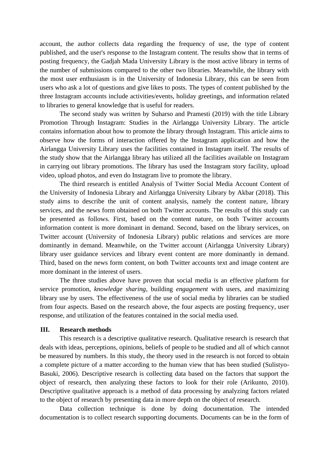account, the author collects data regarding the frequency of use, the type of content published, and the user's response to the Instagram content. The results show that in terms of posting frequency, the Gadjah Mada University Library is the most active library in terms of the number of submissions compared to the other two libraries. Meanwhile, the library with the most user enthusiasm is in the University of Indonesia Library, this can be seen from users who ask a lot of questions and give likes to posts. The types of content published by the three Instagram accounts include activities/events, holiday greetings, and information related to libraries to general knowledge that is useful for readers.

The second study was written by Suharso and Pramesti (2019) with the title Library Promotion Through Instagram: Studies in the Airlangga University Library. The article contains information about how to promote the library through Instagram. This article aims to observe how the forms of interaction offered by the Instagram application and how the Airlangga University Library uses the facilities contained in Instagram itself. The results of the study show that the Airlangga library has utilized all the facilities available on Instagram in carrying out library promotions. The library has used the Instagram story facility, upload video, upload photos, and even do Instagram live to promote the library.

The third research is entitled Analysis of Twitter Social Media Account Content of the University of Indonesia Library and Airlangga University Library by Akbar (2018). This study aims to describe the unit of content analysis, namely the content nature, library services, and the news form obtained on both Twitter accounts. The results of this study can be presented as follows. First, based on the content nature, on both Twitter accounts information content is more dominant in demand. Second, based on the library services, on Twitter account (University of Indonesia Library) public relations and services are more dominantly in demand. Meanwhile, on the Twitter account (Airlangga University Library) library user guidance services and library event content are more dominantly in demand. Third, based on the news form content, on both Twitter accounts text and image content are more dominant in the interest of users.

The three studies above have proven that social media is an effective platform for service promotion, *knowledge sharing*, building *engagement* with users, and maximizing library use by users. The effectiveness of the use of social media by libraries can be studied from four aspects. Based on the research above, the four aspects are posting frequency, user response, and utilization of the features contained in the social media used.

#### **III. Research methods**

This research is a descriptive qualitative research. Qualitative research is research that deals with ideas, perceptions, opinions, beliefs of people to be studied and all of which cannot be measured by numbers. In this study, the theory used in the research is not forced to obtain a complete picture of a matter according to the human view that has been studied (Sulistyo-Basuki, 2006). Descriptive research is collecting data based on the factors that support the object of research, then analyzing these factors to look for their role (Arikunto, 2010). Descriptive qualitative approach is a method of data processing by analyzing factors related to the object of research by presenting data in more depth on the object of research.

Data collection technique is done by doing documentation. The intended documentation is to collect research supporting documents. Documents can be in the form of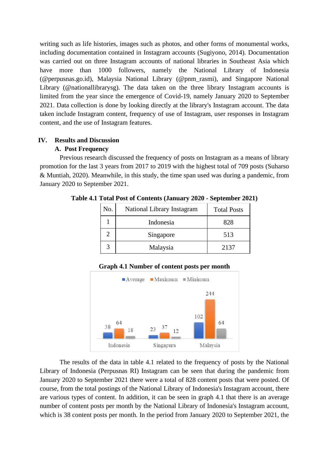writing such as life histories, images such as photos, and other forms of monumental works, including documentation contained in Instagram accounts (Sugiyono, 2014). Documentation was carried out on three Instagram accounts of national libraries in Southeast Asia which have more than 1000 followers, namely the National Library of Indonesia ([@perpusnas.go.id\)](http://perpusnas.go.id/), Malaysia National Library (@pnm\_rasmi), and Singapore National Library (@nationallibrarysg). The data taken on the three library Instagram accounts is limited from the year since the emergence of Covid-19, namely January 2020 to September 2021. Data collection is done by looking directly at the library's Instagram account. The data taken include Instagram content, frequency of use of Instagram, user responses in Instagram content, and the use of Instagram features.

## **IV. Results and Discussion**

## **A. Post Frequency**

Previous research discussed the frequency of posts on Instagram as a means of library promotion for the last 3 years from 2017 to 2019 with the highest total of 709 posts (Suharso & Muntiah, 2020). Meanwhile, in this study, the time span used was during a pandemic, from January 2020 to September 2021.

| No.                         | National Library Instagram | <b>Total Posts</b> |
|-----------------------------|----------------------------|--------------------|
|                             | Indonesia                  | 828                |
| $\mathcal{D}_{\mathcal{A}}$ | Singapore                  | 513                |
| 3                           | Malaysia                   | 2137               |

**Table 4.1 Total Post of Contents (January 2020 - September 2021)**

**Graph 4.1 Number of content posts per month**



The results of the data in table 4.1 related to the frequency of posts by the National Library of Indonesia (Perpusnas RI) Instagram can be seen that during the pandemic from January 2020 to September 2021 there were a total of 828 content posts that were posted. Of course, from the total postings of the National Library of Indonesia's Instagram account, there are various types of content. In addition, it can be seen in graph 4.1 that there is an average number of content posts per month by the National Library of Indonesia's Instagram account, which is 38 content posts per month. In the period from January 2020 to September 2021, the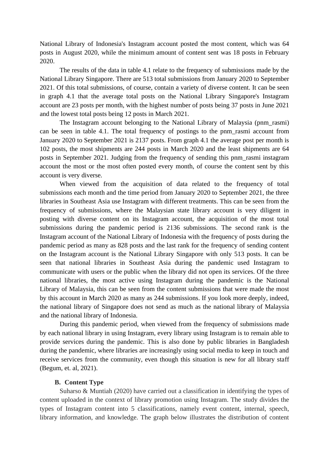National Library of Indonesia's Instagram account posted the most content, which was 64 posts in August 2020, while the minimum amount of content sent was 18 posts in February 2020.

The results of the data in table 4.1 relate to the frequency of submissions made by the National Library Singapore. There are 513 total submissions from January 2020 to September 2021. Of this total submissions, of course, contain a variety of diverse content. It can be seen in graph 4.1 that the average total posts on the National Library Singapore's Instagram account are 23 posts per month, with the highest number of posts being 37 posts in June 2021 and the lowest total posts being 12 posts in March 2021.

The Instagram account belonging to the National Library of Malaysia (pnm\_rasmi) can be seen in table 4.1. The total frequency of postings to the pnm\_rasmi account from January 2020 to September 2021 is 2137 posts. From graph 4.1 the average post per month is 102 posts, the most shipments are 244 posts in March 2020 and the least shipments are 64 posts in September 2021. Judging from the frequency of sending this pnm\_rasmi instagram account the most or the most often posted every month, of course the content sent by this account is very diverse.

When viewed from the acquisition of data related to the frequency of total submissions each month and the time period from January 2020 to September 2021, the three libraries in Southeast Asia use Instagram with different treatments. This can be seen from the frequency of submissions, where the Malaysian state library account is very diligent in posting with diverse content on its Instagram account, the acquisition of the most total submissions during the pandemic period is 2136 submissions. The second rank is the Instagram account of the National Library of Indonesia with the frequency of posts during the pandemic period as many as 828 posts and the last rank for the frequency of sending content on the Instagram account is the National Library Singapore with only 513 posts. It can be seen that national libraries in Southeast Asia during the pandemic used Instagram to communicate with users or the public when the library did not open its services. Of the three national libraries, the most active using Instagram during the pandemic is the National Library of Malaysia, this can be seen from the content submissions that were made the most by this account in March 2020 as many as 244 submissions. If you look more deeply, indeed, the national library of Singapore does not send as much as the national library of Malaysia and the national library of Indonesia.

During this pandemic period, when viewed from the frequency of submissions made by each national library in using Instagram, every library using Instagram is to remain able to provide services during the pandemic. This is also done by public libraries in Bangladesh during the pandemic, where libraries are increasingly using social media to keep in touch and receive services from the community, even though this situation is new for all library staff (Begum, et. al, 2021).

#### **B. Content Type**

Suharso & Muntiah (2020) have carried out a classification in identifying the types of content uploaded in the context of library promotion using Instagram. The study divides the types of Instagram content into 5 classifications, namely event content, internal, speech, library information, and knowledge. The graph below illustrates the distribution of content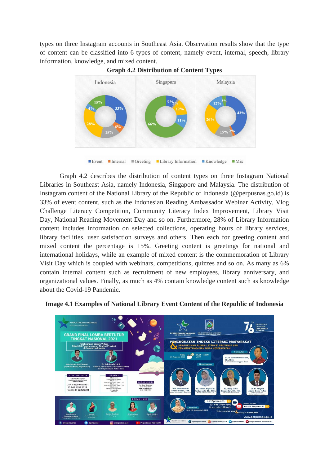types on three Instagram accounts in Southeast Asia. Observation results show that the type of content can be classified into 6 types of content, namely event, internal, speech, library information, knowledge, and mixed content.



**Graph 4.2 Distribution of Content Types**

 $\blacksquare$  Event  $\blacksquare$ Internal  $\blacksquare$  Greeting  $\blacksquare$  Library Information Knowledge  $\blacksquare$  Mix

Graph 4.2 describes the distribution of content types on three Instagram National Libraries in Southeast Asia, namely Indonesia, Singapore and Malaysia. The distribution of Instagram content of the National Library of the Republic of Indonesia ([@perpusnas.go.id\)](http://perpusnas.go.id/) is 33% of event content, such as the Indonesian Reading Ambassador Webinar Activity, Vlog Challenge Literacy Competition, Community Literacy Index Improvement, Library Visit Day, National Reading Movement Day and so on. Furthermore, 28% of Library Information content includes information on selected collections, operating hours of library services, library facilities, user satisfaction surveys and others. Then each for greeting content and mixed content the percentage is 15%. Greeting content is greetings for national and international holidays, while an example of mixed content is the commemoration of Library Visit Day which is coupled with webinars, competitions, quizzes and so on. As many as 6% contain internal content such as recruitment of new employees, library anniversary, and organizational values. Finally, as much as 4% contain knowledge content such as knowledge about the Covid-19 Pandemic.



**Image 4.1 Examples of National Library Event Content of the Republic of Indonesia**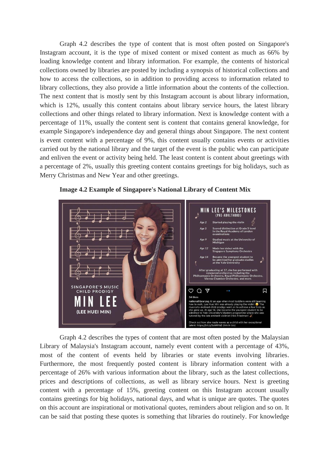Graph 4.2 describes the type of content that is most often posted on Singapore's Instagram account, it is the type of mixed content or mixed content as much as 66% by loading knowledge content and library information. For example, the contents of historical collections owned by libraries are posted by including a synopsis of historical collections and how to access the collections, so in addition to providing access to information related to library collections, they also provide a little information about the contents of the collection. The next content that is mostly sent by this Instagram account is about library information, which is 12%, usually this content contains about library service hours, the latest library collections and other things related to library information. Next is knowledge content with a percentage of 11%, usually the content sent is content that contains general knowledge, for example Singapore's independence day and general things about Singapore. The next content is event content with a percentage of 9%, this content usually contains events or activities carried out by the national library and the target of the event is the public who can participate and enliven the event or activity being held. The least content is content about greetings with a percentage of 2%, usually this greeting content contains greetings for big holidays, such as Merry Christmas and New Year and other greetings.



**Image 4.2 Example of Singapore's National Library of Content Mix**

Graph 4.2 describes the types of content that are most often posted by the Malaysian Library of Malaysia's Instagram account, namely event content with a percentage of 43%, most of the content of events held by libraries or state events involving libraries. Furthermore, the most frequently posted content is library information content with a percentage of 26% with various information about the library, such as the latest collections, prices and descriptions of collections, as well as library service hours. Next is greeting content with a percentage of 15%, greeting content on this Instagram account usually contains greetings for big holidays, national days, and what is unique are quotes. The quotes on this account are inspirational or motivational quotes, reminders about religion and so on. It can be said that posting these quotes is something that libraries do routinely. For knowledge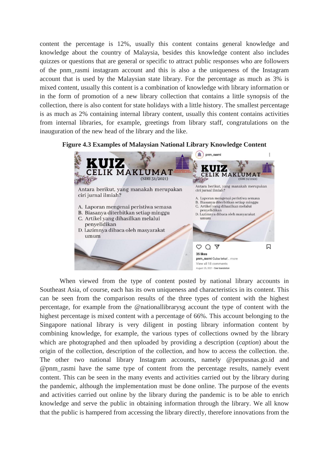content the percentage is 12%, usually this content contains general knowledge and knowledge about the country of Malaysia, besides this knowledge content also includes quizzes or questions that are general or specific to attract public responses who are followers of the pnm\_rasmi instagram account and this is also a the uniqueness of the Instagram account that is used by the Malaysian state library. For the percentage as much as 3% is mixed content, usually this content is a combination of knowledge with library information or in the form of promotion of a new library collection that contains a little synopsis of the collection, there is also content for state holidays with a little history. The smallest percentage is as much as 2% containing internal library content, usually this content contains activities from internal libraries, for example, greetings from library staff, congratulations on the inauguration of the new head of the library and the like.





When viewed from the type of content posted by national library accounts in Southeast Asia, of course, each has its own uniqueness and characteristics in its content. This can be seen from the comparison results of the three types of content with the highest percentage, for example from the @nationallibrarysg account the type of content with the highest percentage is mixed content with a percentage of 66%. This account belonging to the Singapore national library is very diligent in posting library information content by combining knowledge, for example, the various types of collections owned by the library which are photographed and then uploaded by providing a description (*caption*) about the origin of the collection, description of the collection, and how to access the collection. the. The other two national library Instagram accounts, namely [@perpusnas.go.id](http://perpusnas.go.id/) and @pnm\_rasmi have the same type of content from the percentage results, namely event content. This can be seen in the many events and activities carried out by the library during the pandemic, although the implementation must be done online. The purpose of the events and activities carried out online by the library during the pandemic is to be able to enrich knowledge and serve the public in obtaining information through the library. We all know that the public is hampered from accessing the library directly, therefore innovations from the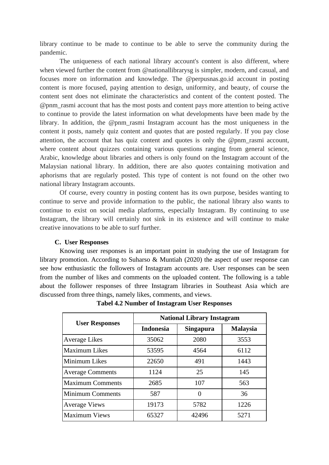library continue to be made to continue to be able to serve the community during the pandemic.

The uniqueness of each national library account's content is also different, where when viewed further the content from @nationallibrarysg is simpler, modern, and casual, and focuses more on information and knowledge. The [@perpusnas.go.id](http://perpusnas.go.id/) account in posting content is more focused, paying attention to design, uniformity, and beauty, of course the content sent does not eliminate the characteristics and content of the content posted. The @pnm\_rasmi account that has the most posts and content pays more attention to being active to continue to provide the latest information on what developments have been made by the library. In addition, the @pnm\_rasmi Instagram account has the most uniqueness in the content it posts, namely quiz content and quotes that are posted regularly. If you pay close attention, the account that has quiz content and quotes is only the  $@pnm$  rasmi account, where content about quizzes containing various questions ranging from general science, Arabic, knowledge about libraries and others is only found on the Instagram account of the Malaysian national library. In addition, there are also *quotes* containing motivation and aphorisms that are regularly posted. This type of content is not found on the other two national library Instagram accounts.

Of course, every country in posting content has its own purpose, besides wanting to continue to serve and provide information to the public, the national library also wants to continue to exist on social media platforms, especially Instagram. By continuing to use Instagram, the library will certainly not sink in its existence and will continue to make creative innovations to be able to surf further.

## **C. User Responses**

Knowing user responses is an important point in studying the use of Instagram for library promotion. According to Suharso & Muntiah (2020) the aspect of user response can see how enthusiastic the followers of Instagram accounts are. User responses can be seen from the number of likes and comments on the uploaded content. The following is a table about the follower responses of three Instagram libraries in Southeast Asia which are discussed from three things, namely likes, comments, and views.

|                         | <b>National Library Instagram</b> |                  |                 |  |
|-------------------------|-----------------------------------|------------------|-----------------|--|
| <b>User Responses</b>   | <b>Indonesia</b>                  | <b>Singapura</b> | <b>Malaysia</b> |  |
| <b>Average Likes</b>    | 35062                             | 2080             | 3553            |  |
| <b>Maximum Likes</b>    | 53595                             | 4564             | 6112            |  |
| <b>Minimum Likes</b>    | 22650                             | 491              | 1443            |  |
| <b>Average Comments</b> | 1124                              | 25               | 145             |  |
| <b>Maximum Comments</b> | 2685                              | 107              | 563             |  |
| <b>Minimum Comments</b> | 587                               | 0                | 36              |  |
| <b>Average Views</b>    | 19173                             | 5782             | 1226            |  |
| <b>Maximum Views</b>    | 65327                             | 42496            | 5271            |  |

**Tabel 4.2 Number of Instagram User Responses**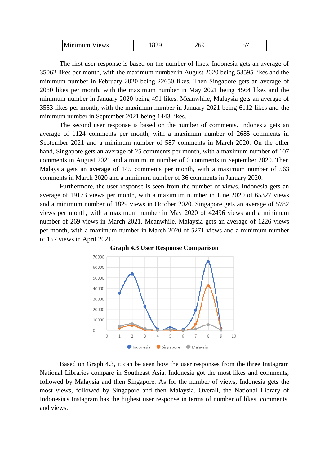| Minimum Views |  | ን ሬር | $\sim$ |
|---------------|--|------|--------|
|---------------|--|------|--------|

The first user response is based on the number of likes. Indonesia gets an average of 35062 likes per month, with the maximum number in August 2020 being 53595 likes and the minimum number in February 2020 being 22650 likes. Then Singapore gets an average of 2080 likes per month, with the maximum number in May 2021 being 4564 likes and the minimum number in January 2020 being 491 likes. Meanwhile, Malaysia gets an average of 3553 likes per month, with the maximum number in January 2021 being 6112 likes and the minimum number in September 2021 being 1443 likes.

The second user response is based on the number of comments. Indonesia gets an average of 1124 comments per month, with a maximum number of 2685 comments in September 2021 and a minimum number of 587 comments in March 2020. On the other hand, Singapore gets an average of 25 comments per month, with a maximum number of 107 comments in August 2021 and a minimum number of 0 comments in September 2020. Then Malaysia gets an average of 145 comments per month, with a maximum number of 563 comments in March 2020 and a minimum number of 36 comments in January 2020.

Furthermore, the user response is seen from the number of views. Indonesia gets an average of 19173 views per month, with a maximum number in June 2020 of 65327 views and a minimum number of 1829 views in October 2020. Singapore gets an average of 5782 views per month, with a maximum number in May 2020 of 42496 views and a minimum number of 269 views in March 2021. Meanwhile, Malaysia gets an average of 1226 views per month, with a maximum number in March 2020 of 5271 views and a minimum number of 157 views in April 2021.



**Graph 4.3 User Response Comparison**

Based on Graph 4.3, it can be seen how the user responses from the three Instagram National Libraries compare in Southeast Asia. Indonesia got the most likes and comments, followed by Malaysia and then Singapore. As for the number of views, Indonesia gets the most views, followed by Singapore and then Malaysia. Overall, the National Library of Indonesia's Instagram has the highest user response in terms of number of likes, comments, and views.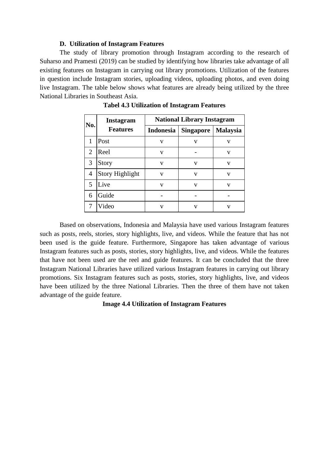#### **D. Utilization of Instagram Features**

The study of library promotion through Instagram according to the research of Suharso and Pramesti (2019) can be studied by identifying how libraries take advantage of all existing features on Instagram in carrying out library promotions. Utilization of the features in question include Instagram stories, uploading videos, uploading photos, and even doing live Instagram. The table below shows what features are already being utilized by the three National Libraries in Southeast Asia.

| No. | <b>Instagram</b><br><b>Features</b> | <b>National Library Instagram</b> |                  |                 |
|-----|-------------------------------------|-----------------------------------|------------------|-----------------|
|     |                                     | Indonesia                         | <b>Singapore</b> | <b>Malaysia</b> |
|     | Post                                | V                                 | V                | v               |
| 2   | Reel                                | v                                 |                  | v               |
| 3   | Story                               | $\mathbf{V}$                      | V                | V               |
| 4   | <b>Story Highlight</b>              | v                                 | v                | V               |
| 5   | Live                                | v                                 | v                | v               |
| 6   | Guide                               |                                   |                  |                 |
|     | Video                               | v                                 | v                | v               |

**Tabel 4.3 Utilization of Instagram Features**

Based on observations, Indonesia and Malaysia have used various Instagram features such as posts, reels, stories, story highlights, live, and videos. While the feature that has not been used is the guide feature. Furthermore, Singapore has taken advantage of various Instagram features such as posts, stories, story highlights, live, and videos. While the features that have not been used are the reel and guide features. It can be concluded that the three Instagram National Libraries have utilized various Instagram features in carrying out library promotions. Six Instagram features such as posts, stories, story highlights, live, and videos have been utilized by the three National Libraries. Then the three of them have not taken advantage of the guide feature.

**Image 4.4 Utilization of Instagram Features**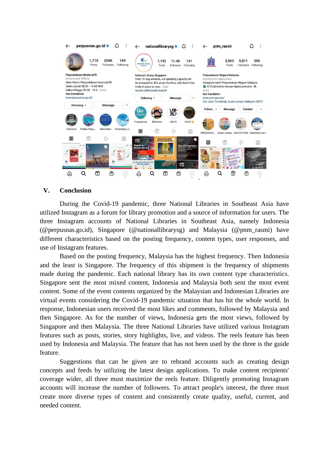

## **V. Conclusion**

During the Covid-19 pandemic, three National Libraries in Southeast Asia have utilized Instagram as a forum for library promotion and a source of information for users. The three Instagram accounts of National Libraries in Southeast Asia, namely Indonesia ([@perpusnas.go.id\)](http://perpusnas.go.id/), Singapore (@nationallibrarysg) and Malaysia (@pnm\_rasmi) have different characteristics based on the posting frequency, content types, user responses, and use of Instagram features.

Based on the posting frequency, Malaysia has the highest frequency. Then Indonesia and the least is Singapore. The frequency of this shipment is the frequency of shipments made during the pandemic. Each national library has its own content type characteristics. Singapore sent the most mixed content, Indonesia and Malaysia both sent the most event content. Some of the event contents organized by the Malaysian and Indonesian Libraries are virtual events considering the Covid-19 pandemic situation that has hit the whole world. In response, Indonesian users received the most likes and comments, followed by Malaysia and then Singapore. As for the number of views, Indonesia gets the most views, followed by Singapore and then Malaysia. The three National Libraries have utilized various Instagram features such as posts, stories, story highlights, live, and videos. The reels feature has been used by Indonesia and Malaysia. The feature that has not been used by the three is the guide feature.

Suggestions that can be given are to rebrand accounts such as creating design concepts and feeds by utilizing the latest design applications. To make content recipients' coverage wider, all three must maximize the reels feature. Diligently promoting Instagram accounts will increase the number of followers. To attract people's interest, the three must create more diverse types of content and consistently create quality, useful, current, and needed content.